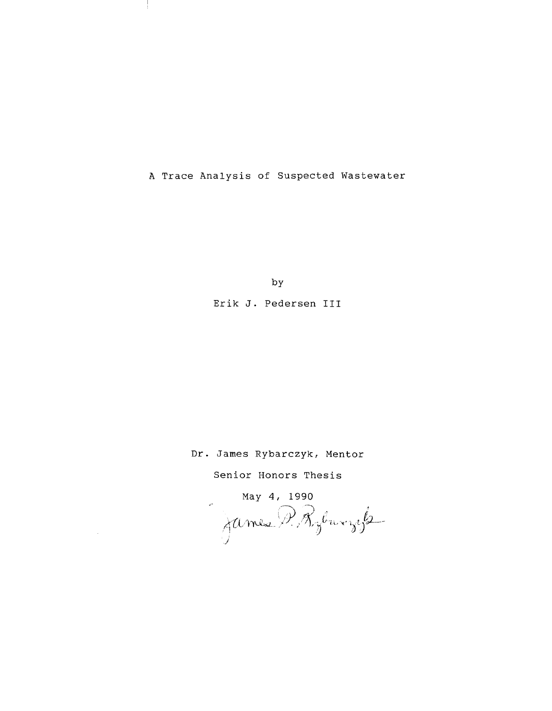A Trace Analysis of Suspected Wastewater

by

Erik J. Pedersen III

Dr. James Rybarczyk, Mentor

Senior Honors Thesis

 $\bar{z}$ 

May 4, 1990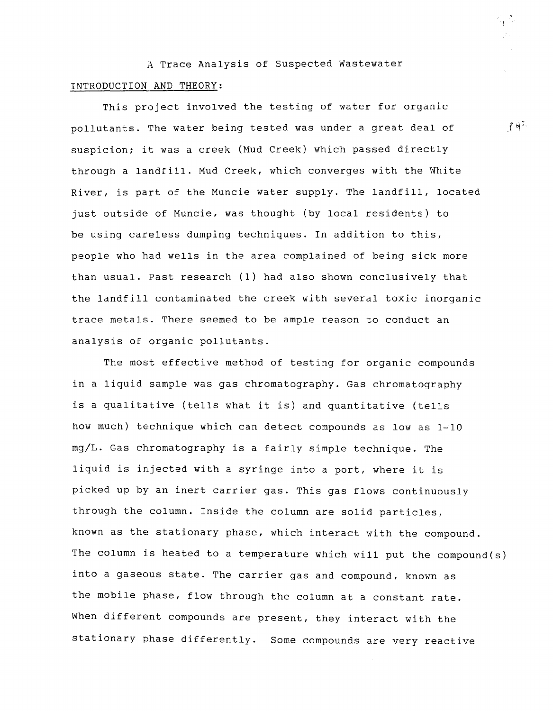A Trace Analysis of Suspected Wastewater INTRODUCTION AND THEORY:

This project involved the testing of water for organic pollutants. The water being tested was under a great deal of suspicion; it was a creek (Mud Creek) which passed directly through a landfill. Mud Creek, which converges with the White River, is part of the Muncie water supply. The landfill, located just outside of Muncie, was thought (by local residents) to be using careless dumping techniques. In addition to this, people who had wells in the area complained of being sick more than usual. Past research (1) had also shown conclusively that the landfill contaminated the creek with several toxic inorganic trace metals. There seemed to be ample reason to conduct an analysis of organic pollutants.

The most effective method of testing for organic compounds in a liquid sample was gas chromatography. Gas chromatography is a qualitative (tells what it is) and quantitative (tells how much) technique which can detect compounds as low as 1~10 mg/L. Gas chromatography is a fairly simple technique. The liquid is injected with a syringe into a port, where it is picked up by an inert carrier gas. This gas flows continuously through the column. Inside the column are solid particles, known as the stationary phase, which interact with the compound. The column is heated to a temperature which will put the compound(s) into a gaseous state. The carrier gas and compound, known as the mobile phase, flow through the column at a constant rate. When different compounds are present, they interact with the stationary phase differently. Some compounds are very reactive

 $\uparrow$  4<sup>2</sup>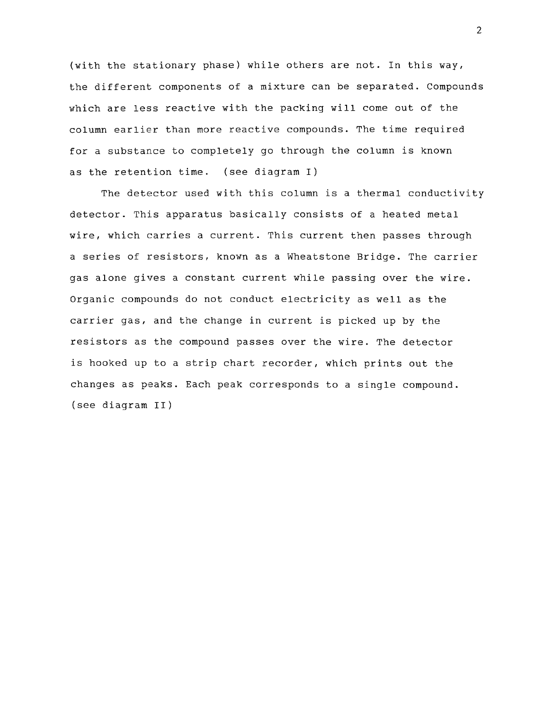(with the stationary phase) while others are not. In this way, the different components of a mixture can be separated. Compounds which are less reactive with the packing will come out of the column earlier than more reactive compounds. The time required for a substance to completely go through the column is known as the retention time. (see diagram I)

The detector used with this column is a thermal conductivity detector. This apparatus basically consists of a heated metal wire, which carries a current. This current then passes through a series of resistors, known as a Wheatstone Bridge. The carrier gas alone gives a constant current while passing over the wire. Organic compounds do not conduct electricity as well as the carrier gas, and the change in current is picked up by the resistors as the compound passes over the wire. The detector is hooked up to a strip chart recorder, which prints out the changes as peaks. Each peak corresponds to a single compound. (see diagram II)

2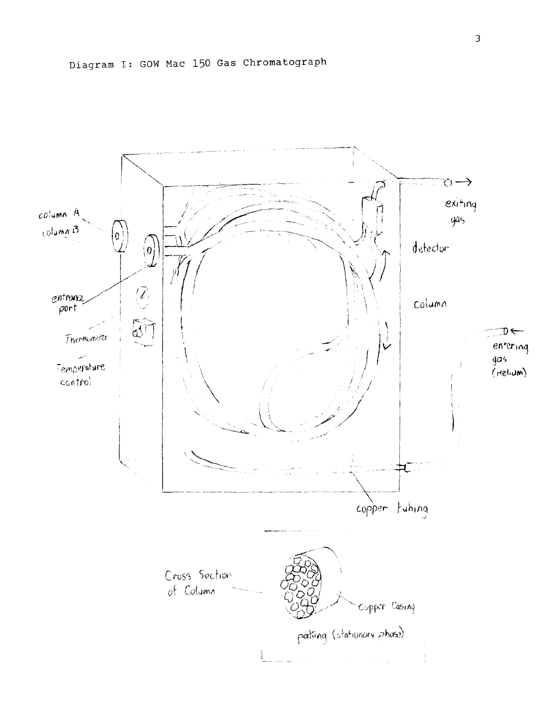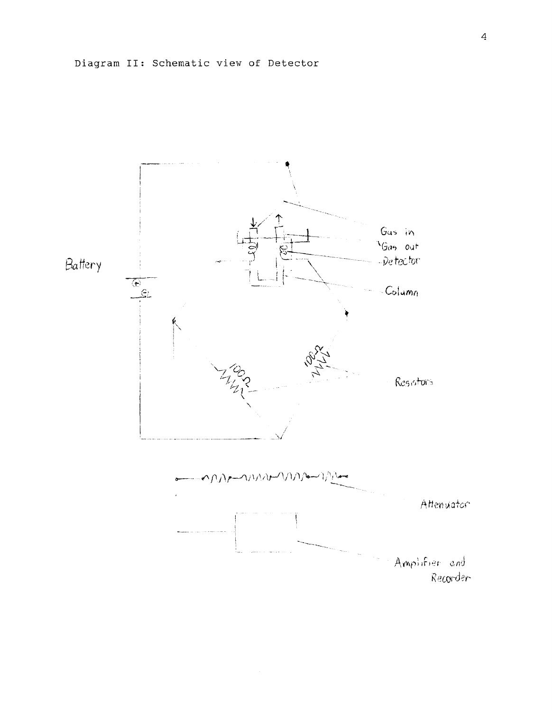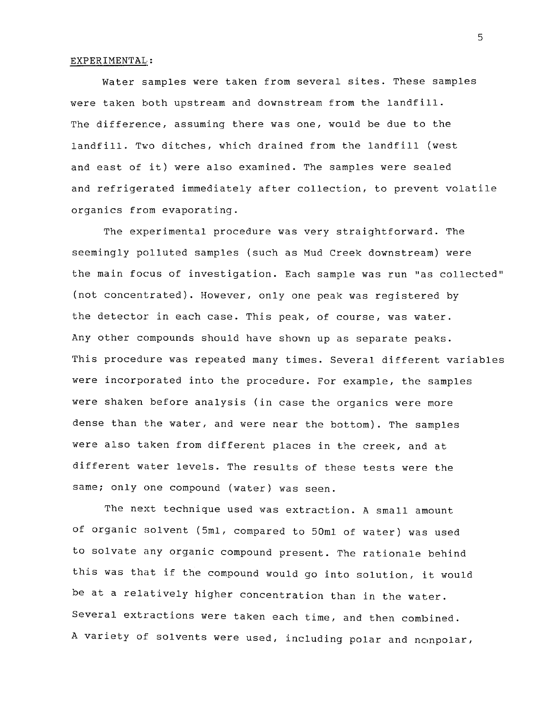## EXPER IMENTAL:

Water samples were taken from several sites. These samples were taken both upstream and downstream from the landfill. The difference, assuming there was one, would be due to the landfill. Two ditches, which drained from the landfill (west and east of it) were also examined. The samples were sealed and refrigerated immediately after collection, to prevent volatile organics from evaporating.

The experimental procedure was very straightforward. The seemingly polluted samples (such as Mud Creek downstream) were the main focus of investigation. Each sample was run "as collected" (not concentrated). However, only one peak was registered by the detector in each case. This peak, of course, was water. Any other compounds should have shown up as separate peaks. This procedure was repeated many times. Several different variables were incorporated into the procedure. For example, the samples were shaken before analysis (in case the organics were more dense than the water, and were near the bottom). The samples were also taken from different places in the creek, and at different water levels. The results of these tests were the same; only one compound (water) was seen.

The next technique used was extraction. A small amount of organic solvent (5ml, compared to 50ml of water) was used to solvate any organic compound present. The rationale behind this was that if the compound would go into solution, it would be at a relatively higher concentration than in the water. Several extractions were taken each time, and then combined. A variety of solvents were used, including polar and nonpolar,

5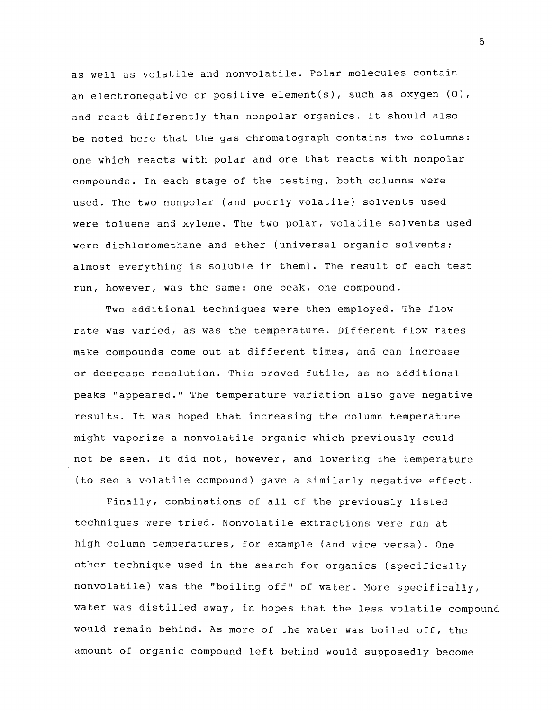as well as volatile and nonvolatile. Polar molecules contain an electronegative or positive element(s), such as oxygen (0), and react differently than nonpolar organics. It should also be noted here that the gas chromatograph contains two columns: one which reacts with polar and one that reacts with nonpolar compounds. In each stage of the testing, both columns were used. The two nonpolar (and poorly volatile) solvents used were toluene and xylene. The two polar, volatile solvents used were dichloromethane and ether (universal organic solvents; almost everything is soluble in them). The result of each test run, however, was the same: one peak, one compound.

Two additional techniques were then employed. The flow rate was varied, as was the temperature. Different flow rates make compounds come out at different times, and can increase or decrease resolution. This proved futile, as no additional peaks "appeared." The temperature variation also gave negative results. It was hoped that increasing the column temperature might vaporize a nonvolatile organic which previously could not be seen. It did not, however, and lowering the temperature (to see a volatile compound) gave a similarly negative effect.

Finally, combinations of all of the previously listed techniques were tried. Nonvolatile extractions were run at high column temperatures, for example (and vice versa). One other technique used in the search for organics (specifically nonvolatile) was the "boiling off" of water. More specifically, water was distilled away, in hopes that the less volatile compound would remain behind. As more of the water was boiled off, the amount of organic compound left behind would supposedly become

6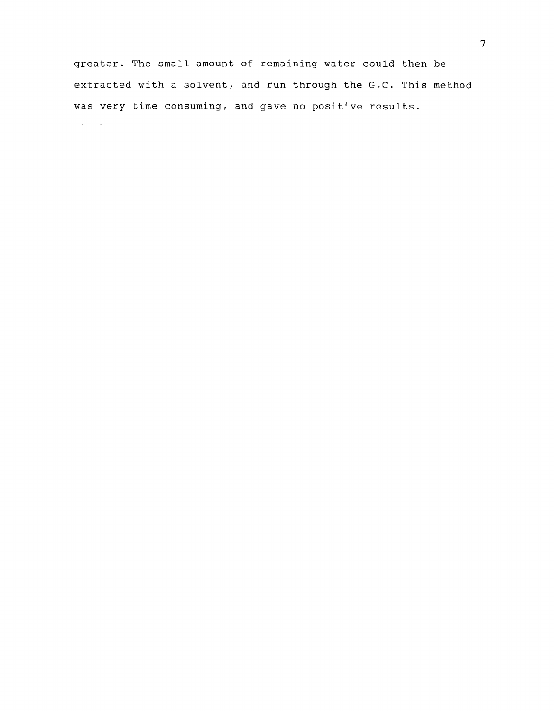greater. The small amount of remaining water could then be extracted with a solvent, and run through the G.C. This method was very time consuming, and gave no positive results.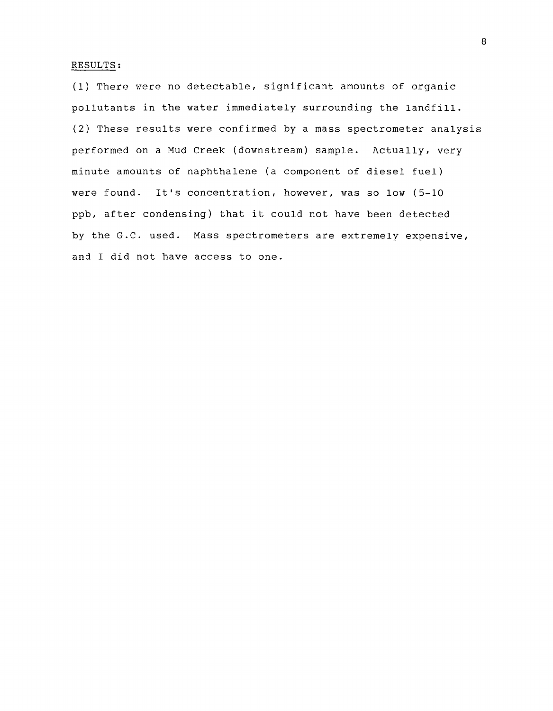## RESULTS:

(1) There were no detectable, significant amounts of organic pollutants in the water immediately surrounding the landfill. (2) These results were confirmed by a mass spectrometer analysis performed on a Mud Creek (downstream) sample. Actually, very minute amounts of naphthalene (a component of diesel fuel) were found. It's concentration, however, was so low (5-10 ppb, after condensing) that it could not have been detected by the G.C. used. Mass spectrometers are extremely expensive, and I did not have access to one.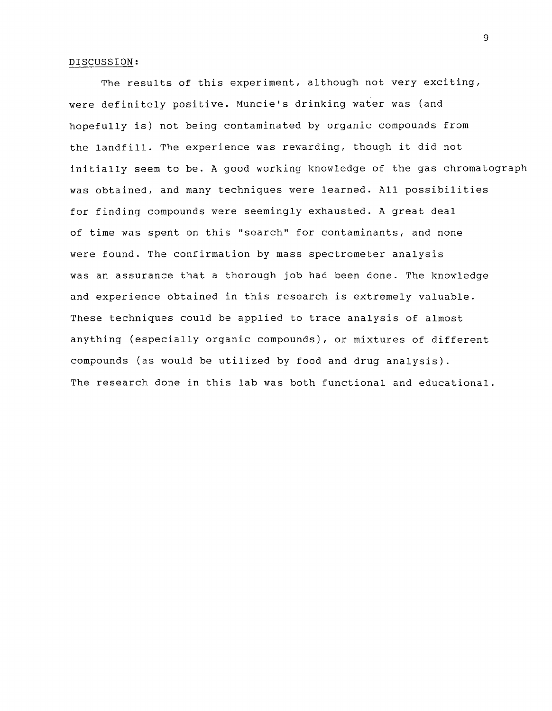## DISCUSSION:

The results of this experiment, although not very exciting, were definitely positive. Muncie's drinking water was (and hopefully is) not being contaminated by organic compounds from the landfill. The experience was rewarding, though it did not initially seem to be. A good working knowledge of the gas chromatograph was obtained, and many techniques were learned. All possibilities for finding compounds were seemingly exhausted. A great deal of time was spent on this "search" for contaminants, and none were found. The confirmation by mass spectrometer analysis was an assurance that a thorough job had been done. The knowledge and experience obtained in this research is extremely valuable. These techniques could be applied to trace analysis of almost anything (especially organic compounds), or mixtures of different compounds (as would be utilized by food and drug analysis). The research done in this lab was both functional and educational.